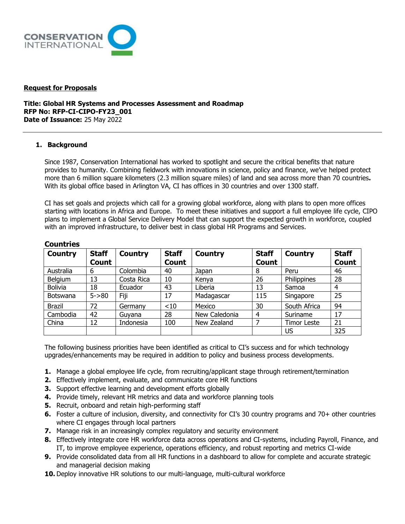

#### **Request for Proposals**

**Title: Global HR Systems and Processes Assessment and Roadmap RFP No: RFP-CI-CIPO-FY23\_001 Date of Issuance:** 25 May 2022

### **1. Background**

Since 1987, Conservation International has worked to spotlight and secure the critical benefits that nature provides to humanity. Combining fieldwork with innovations in science, policy and finance, we've helped protect more than 6 million square kilometers (2.3 million square miles) of land and sea across more than 70 countries**.**  With its global office based in Arlington VA, CI has offices in 30 countries and over 1300 staff.

CI has set goals and projects which call for a growing global workforce, along with plans to open more offices starting with locations in Africa and Europe. To meet these initiatives and support a full employee life cycle, CIPO plans to implement a Global Service Delivery Model that can support the expected growth in workforce, coupled with an improved infrastructure, to deliver best in class global HR Programs and Services.

| <b>Country</b> | <b>Staff</b> | <b>Country</b> | <b>Staff</b> | <b>Country</b> | <b>Staff</b> | <b>Country</b>     | <b>Staff</b> |
|----------------|--------------|----------------|--------------|----------------|--------------|--------------------|--------------|
|                | <b>Count</b> |                | Count        |                | <b>Count</b> |                    | <b>Count</b> |
| Australia      | 6            | Colombia       | 40           | Japan          | 8            | Peru               | 46           |
| Belgium        | 13           | Costa Rica     | 10           | Kenya          | 26           | Philippines        | 28           |
| <b>Bolivia</b> | 18           | Ecuador        | 43           | Liberia        | 13           | Samoa              | 4            |
| Botswana       | $5 - > 80$   | Fiji           | 17           | Madagascar     | 115          | Singapore          | 25           |
| <b>Brazil</b>  | 72           | Germany        | < 10         | Mexico         | 30           | South Africa       | 94           |
| Cambodia       | 42           | Guvana         | 28           | New Caledonia  | 4            | Suriname           | 17           |
| China          | 12           | Indonesia      | 100          | New Zealand    |              | <b>Timor Leste</b> | 21           |
|                |              |                |              |                |              | US                 | 325          |

# **Countries**

The following business priorities have been identified as critical to CI's success and for which technology upgrades/enhancements may be required in addition to policy and business process developments.

- **1.** Manage a global employee life cycle, from recruiting/applicant stage through retirement/termination
- **2.** Effectively implement, evaluate, and communicate core HR functions
- **3.** Support effective learning and development efforts globally
- **4.** Provide timely, relevant HR metrics and data and workforce planning tools
- **5.** Recruit, onboard and retain high-performing staff
- **6.** Foster a culture of inclusion, diversity, and connectivity for CI's 30 country programs and 70+ other countries where CI engages through local partners
- **7.** Manage risk in an increasingly complex regulatory and security environment
- **8.** Effectively integrate core HR workforce data across operations and CI-systems, including Payroll, Finance, and IT, to improve employee experience, operations efficiency, and robust reporting and metrics CI-wide
- **9.** Provide consolidated data from all HR functions in a dashboard to allow for complete and accurate strategic and managerial decision making
- **10.** Deploy innovative HR solutions to our multi-language, multi-cultural workforce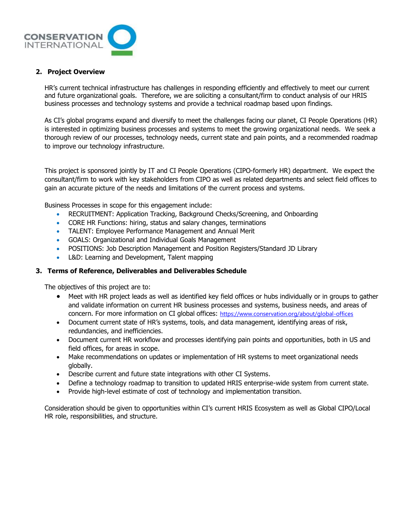

## **2. Project Overview**

HR's current technical infrastructure has challenges in responding efficiently and effectively to meet our current and future organizational goals. Therefore, we are soliciting a consultant/firm to conduct analysis of our HRIS business processes and technology systems and provide a technical roadmap based upon findings.

As CI's global programs expand and diversify to meet the challenges facing our planet, CI People Operations (HR) is interested in optimizing business processes and systems to meet the growing organizational needs. We seek a thorough review of our processes, technology needs, current state and pain points, and a recommended roadmap to improve our technology infrastructure.

This project is sponsored jointly by IT and CI People Operations (CIPO-formerly HR) department. We expect the consultant/firm to work with key stakeholders from CIPO as well as related departments and select field offices to gain an accurate picture of the needs and limitations of the current process and systems.

Business Processes in scope for this engagement include:

- RECRUITMENT: Application Tracking, Background Checks/Screening, and Onboarding
- CORE HR Functions: hiring, status and salary changes, terminations
- TALENT: Employee Performance Management and Annual Merit
- GOALS: Organizational and Individual Goals Management
- POSITIONS: Job Description Management and Position Registers/Standard JD Library
- L&D: Learning and Development, Talent mapping

### **3. Terms of Reference, Deliverables and Deliverables Schedule**

The objectives of this project are to:

- Meet with HR project leads as well as identified key field offices or hubs individually or in groups to gather and validate information on current HR business processes and systems, business needs, and areas of concern. For more information on CI global offices: <https://www.conservation.org/about/global-offices>
- Document current state of HR's systems, tools, and data management, identifying areas of risk, redundancies, and inefficiencies.
- Document current HR workflow and processes identifying pain points and opportunities, both in US and field offices, for areas in scope.
- Make recommendations on updates or implementation of HR systems to meet organizational needs globally.
- Describe current and future state integrations with other CI Systems.
- Define a technology roadmap to transition to updated HRIS enterprise-wide system from current state.
- Provide high-level estimate of cost of technology and implementation transition.

Consideration should be given to opportunities within CI's current HRIS Ecosystem as well as Global CIPO/Local HR role, responsibilities, and structure.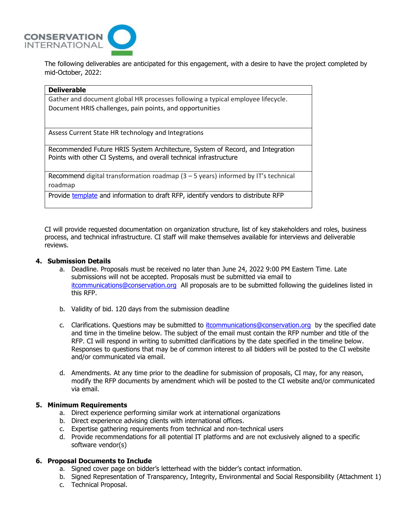

The following deliverables are anticipated for this engagement, with a desire to have the project completed by mid-October, 2022:

| <b>Deliverable</b>                                                                  |
|-------------------------------------------------------------------------------------|
| Gather and document global HR processes following a typical employee lifecycle.     |
| Document HRIS challenges, pain points, and opportunities                            |
|                                                                                     |
|                                                                                     |
| Assess Current State HR technology and Integrations                                 |
|                                                                                     |
| Recommended Future HRIS System Architecture, System of Record, and Integration      |
| Points with other CI Systems, and overall technical infrastructure                  |
|                                                                                     |
| Recommend digital transformation roadmap $(3 - 5$ years) informed by IT's technical |
| roadmap                                                                             |
|                                                                                     |
| Provide template and information to draft RFP, identify vendors to distribute RFP   |

CI will provide requested documentation on organization structure, list of key stakeholders and roles, business process, and technical infrastructure. CI staff will make themselves available for interviews and deliverable reviews.

### **4. Submission Details**

- a. Deadline. Proposals must be received no later than June 24, 2022 9:00 PM Eastern Time. Late submissions will not be accepted. Proposals must be submitted via email to [itcommunications@conservation.org](mailto:itcommunications@conservation.org) All proposals are to be submitted following the guidelines listed in this RFP.
- b. Validity of bid. 120 days from the submission deadline
- c. Clarifications. Questions may be submitted to [itcommunications@conservation.org](mailto:itcommunications@conservation.org) by the specified date and time in the timeline below. The subject of the email must contain the RFP number and title of the RFP. CI will respond in writing to submitted clarifications by the date specified in the timeline below. Responses to questions that may be of common interest to all bidders will be posted to the CI website and/or communicated via email.
- d. Amendments. At any time prior to the deadline for submission of proposals, CI may, for any reason, modify the RFP documents by amendment which will be posted to the CI website and/or communicated via email.

### **5. Minimum Requirements**

- a. Direct experience performing similar work at international organizations
- b. Direct experience advising clients with international offices.
- c. Expertise gathering requirements from technical and non-technical users
- d. Provide recommendations for all potential IT platforms and are not exclusively aligned to a specific software vendor(s)

### **6. Proposal Documents to Include**

- a. Signed cover page on bidder's letterhead with the bidder's contact information.
- b. Signed Representation of Transparency, Integrity, Environmental and Social Responsibility (Attachment 1)
- c. Technical Proposal.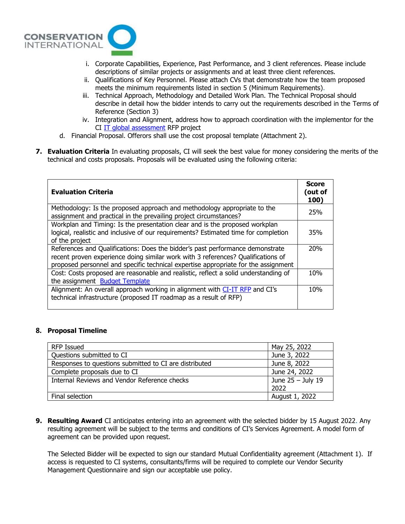

- i. Corporate Capabilities, Experience, Past Performance, and 3 client references. Please include descriptions of similar projects or assignments and at least three client references.
- ii. Qualifications of Key Personnel. Please attach CVs that demonstrate how the team proposed meets the minimum requirements listed in section 5 (Minimum Requirements).
- iii. Technical Approach, Methodology and Detailed Work Plan. The Technical Proposal should describe in detail how the bidder intends to carry out the requirements described in the Terms of Reference (Section 3)
- iv. Integration and Alignment, address how to approach coordination with the implementor for the CI [IT global assessment](https://cicloud.s3.amazonaws.com/docs/default-source/s3-library/rfps/rfp-ci-it-fy22-001-repost-5-11-22.pdf?sfvrsn=49b35bf4_2) RFP project
- d. Financial Proposal. Offerors shall use the cost proposal template (Attachment 2).
- **7. Evaluation Criteria** In evaluating proposals, CI will seek the best value for money considering the merits of the technical and costs proposals. Proposals will be evaluated using the following criteria:

| <b>Evaluation Criteria</b>                                                                                                                                                                                                                              | <b>Score</b><br>(out of<br>100) |
|---------------------------------------------------------------------------------------------------------------------------------------------------------------------------------------------------------------------------------------------------------|---------------------------------|
| Methodology: Is the proposed approach and methodology appropriate to the<br>assignment and practical in the prevailing project circumstances?                                                                                                           | 25%                             |
| Workplan and Timing: Is the presentation clear and is the proposed workplan<br>logical, realistic and inclusive of our requirements? Estimated time for completion<br>of the project                                                                    | 35%                             |
| References and Qualifications: Does the bidder's past performance demonstrate<br>recent proven experience doing similar work with 3 references? Qualifications of<br>proposed personnel and specific technical expertise appropriate for the assignment | 20%                             |
| Cost: Costs proposed are reasonable and realistic, reflect a solid understanding of<br>the assignment Budget Template                                                                                                                                   | 10%                             |
| Alignment: An overall approach working in alignment with CI-IT RFP and CI's<br>technical infrastructure (proposed IT roadmap as a result of RFP)                                                                                                        | 10%                             |

## **8. Proposal Timeline**

| RFP Issued                                             | May 25, 2022      |
|--------------------------------------------------------|-------------------|
| Questions submitted to CI                              | June 3, 2022      |
| Responses to questions submitted to CI are distributed | June 8, 2022      |
| Complete proposals due to CI                           | June 24, 2022     |
| Internal Reviews and Vendor Reference checks           | June 25 - July 19 |
|                                                        | 2022              |
| Final selection                                        | August 1, 2022    |

**9. Resulting Award** CI anticipates entering into an agreement with the selected bidder by 15 August 2022. Any resulting agreement will be subject to the terms and conditions of CI's Services Agreement. A model form of agreement can be provided upon request.

The Selected Bidder will be expected to sign our standard Mutual Confidentiality agreement (Attachment 1). If access is requested to CI systems, consultants/firms will be required to complete our Vendor Security Management Questionnaire and sign our acceptable use policy.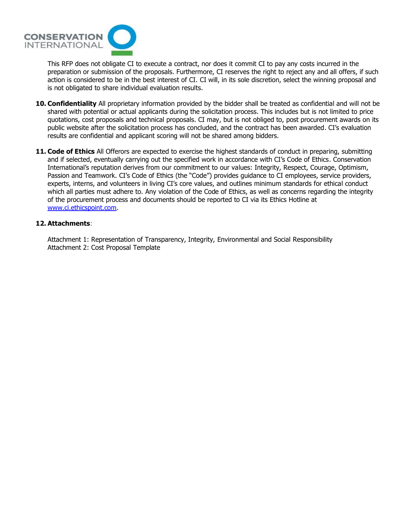

This RFP does not obligate CI to execute a contract, nor does it commit CI to pay any costs incurred in the preparation or submission of the proposals. Furthermore, CI reserves the right to reject any and all offers, if such action is considered to be in the best interest of CI. CI will, in its sole discretion, select the winning proposal and is not obligated to share individual evaluation results.

- **10. Confidentiality** All proprietary information provided by the bidder shall be treated as confidential and will not be shared with potential or actual applicants during the solicitation process. This includes but is not limited to price quotations, cost proposals and technical proposals. CI may, but is not obliged to, post procurement awards on its public website after the solicitation process has concluded, and the contract has been awarded. CI's evaluation results are confidential and applicant scoring will not be shared among bidders.
- **11. Code of Ethics** All Offerors are expected to exercise the highest standards of conduct in preparing, submitting and if selected, eventually carrying out the specified work in accordance with CI's Code of Ethics. Conservation International's reputation derives from our commitment to our values: Integrity, Respect, Courage, Optimism, Passion and Teamwork. CI's Code of Ethics (the "Code") provides guidance to CI employees, service providers, experts, interns, and volunteers in living CI's core values, and outlines minimum standards for ethical conduct which all parties must adhere to. Any violation of the Code of Ethics, as well as concerns regarding the integrity of the procurement process and documents should be reported to CI via its Ethics Hotline at [www.ci.ethicspoint.com.](http://www.ci.ethicspoint.com/)

### **12. Attachments**:

Attachment 1: Representation of Transparency, Integrity, Environmental and Social Responsibility Attachment 2: Cost Proposal Template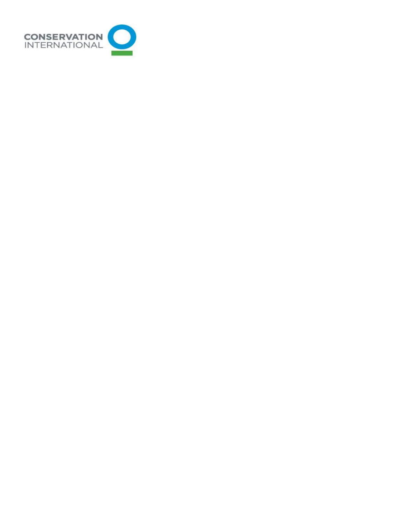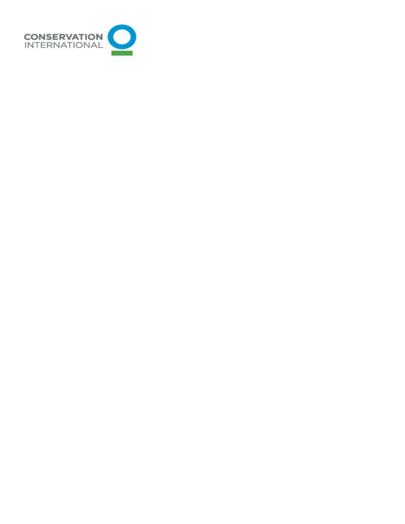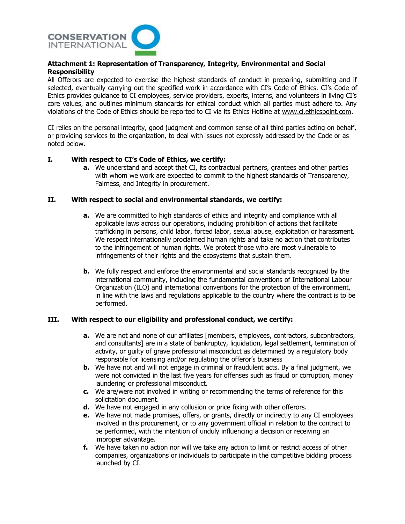

# **Attachment 1: Representation of Transparency, Integrity, Environmental and Social Responsibility**

All Offerors are expected to exercise the highest standards of conduct in preparing, submitting and if selected, eventually carrying out the specified work in accordance with CI's Code of Ethics. CI's Code of Ethics provides guidance to CI employees, service providers, experts, interns, and volunteers in living CI's core values, and outlines minimum standards for ethical conduct which all parties must adhere to. Any violations of the Code of Ethics should be reported to CI via its Ethics Hotline at [www.ci.ethicspoint.com.](http://www.ci.ethicspoint.com/)

CI relies on the personal integrity, good judgment and common sense of all third parties acting on behalf, or providing services to the organization, to deal with issues not expressly addressed by the Code or as noted below.

## **I. With respect to CI's Code of Ethics, we certify:**

**a.** We understand and accept that CI, its contractual partners, grantees and other parties with whom we work are expected to commit to the highest standards of Transparency, Fairness, and Integrity in procurement.

### **II. With respect to social and environmental standards, we certify:**

- **a.** We are committed to high standards of ethics and integrity and compliance with all applicable laws across our operations, including prohibition of actions that facilitate trafficking in persons, child labor, forced labor, sexual abuse, exploitation or harassment. We respect internationally proclaimed human rights and take no action that contributes to the infringement of human rights. We protect those who are most vulnerable to infringements of their rights and the ecosystems that sustain them.
- **b.** We fully respect and enforce the environmental and social standards recognized by the international community, including the fundamental conventions of International Labour Organization (ILO) and international conventions for the protection of the environment, in line with the laws and regulations applicable to the country where the contract is to be performed.

## **III. With respect to our eligibility and professional conduct, we certify:**

- **a.** We are not and none of our affiliates [members, employees, contractors, subcontractors, and consultants] are in a state of bankruptcy, liquidation, legal settlement, termination of activity, or guilty of grave professional misconduct as determined by a regulatory body responsible for licensing and/or regulating the offeror's business
- **b.** We have not and will not engage in criminal or fraudulent acts. By a final judgment, we were not convicted in the last five years for offenses such as fraud or corruption, money laundering or professional misconduct.
- **c.** We are/were not involved in writing or recommending the terms of reference for this solicitation document.
- **d.** We have not engaged in any collusion or price fixing with other offerors.
- **e.** We have not made promises, offers, or grants, directly or indirectly to any CI employees involved in this procurement, or to any government official in relation to the contract to be performed, with the intention of unduly influencing a decision or receiving an improper advantage.
- **f.** We have taken no action nor will we take any action to limit or restrict access of other companies, organizations or individuals to participate in the competitive bidding process launched by CI.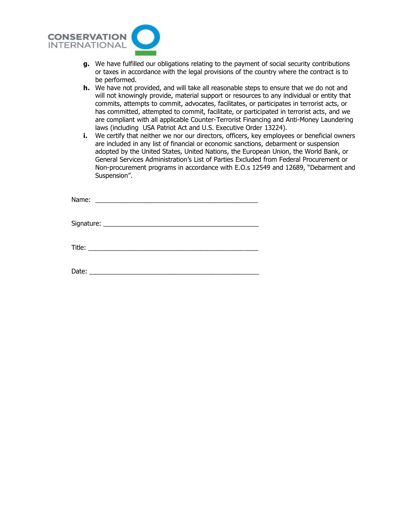

- **g.** We have fulfilled our obligations relating to the payment of social security contributions or taxes in accordance with the legal provisions of the country where the contract is to be performed.
- **h.** We have not provided, and will take all reasonable steps to ensure that we do not and will not knowingly provide, material support or resources to any individual or entity that commits, attempts to commit, advocates, facilitates, or participates in terrorist acts, or has committed, attempted to commit, facilitate, or participated in terrorist acts, and we are compliant with all applicable Counter-Terrorist Financing and Anti-Money Laundering laws (including USA Patriot Act and U.S. Executive Order 13224).
- **i.** We certify that neither we nor our directors, officers, key employees or beneficial owners are included in any list of financial or economic sanctions, debarment or suspension adopted by the United States, United Nations, the European Union, the World Bank, or General Services Administration's List of Parties Excluded from Federal Procurement or Non-procurement programs in accordance with E.O.s 12549 and 12689, "Debarment and Suspension".

Date: \_\_\_\_\_\_\_\_\_\_\_\_\_\_\_\_\_\_\_\_\_\_\_\_\_\_\_\_\_\_\_\_\_\_\_\_\_\_\_\_\_\_\_\_\_\_\_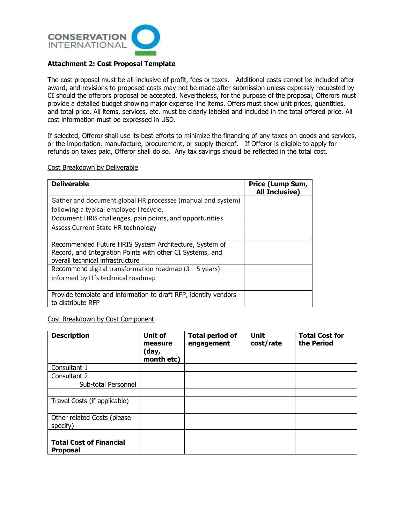

# **Attachment 2: Cost Proposal Template**

The cost proposal must be all-inclusive of profit, fees or taxes. Additional costs cannot be included after award, and revisions to proposed costs may not be made after submission unless expressly requested by CI should the offerors proposal be accepted. Nevertheless, for the purpose of the proposal, Offerors must provide a detailed budget showing major expense line items. Offers must show unit prices, quantities, and total price. All items, services, etc. must be clearly labeled and included in the total offered price. All cost information must be expressed in USD.

If selected, Offeror shall use its best efforts to minimize the financing of any taxes on goods and services, or the importation, manufacture, procurement, or supply thereof. If Offeror is eligible to apply for refunds on taxes paid, Offeror shall do so. Any tax savings should be reflected in the total cost.

#### Cost Breakdown by Deliverable

| <b>Deliverable</b>                                                                   | Price (Lump Sum,<br><b>All Inclusive)</b> |
|--------------------------------------------------------------------------------------|-------------------------------------------|
| Gather and document global HR processes (manual and system)                          |                                           |
| following a typical employee lifecycle.                                              |                                           |
| Document HRIS challenges, pain points, and opportunities                             |                                           |
| Assess Current State HR technology                                                   |                                           |
| Recommended Future HRIS System Architecture, System of                               |                                           |
| Record, and Integration Points with other CI Systems, and                            |                                           |
| overall technical infrastructure                                                     |                                           |
| Recommend digital transformation roadmap $(3 - 5$ years)                             |                                           |
| informed by IT's technical roadmap                                                   |                                           |
|                                                                                      |                                           |
| Provide template and information to draft RFP, identify vendors<br>to distribute RFP |                                           |

Cost Breakdown by Cost Component

| <b>Description</b>                                | Unit of<br>measure<br>(day,<br>month etc) | <b>Total period of</b><br>engagement | <b>Unit</b><br>cost/rate | <b>Total Cost for</b><br>the Period |
|---------------------------------------------------|-------------------------------------------|--------------------------------------|--------------------------|-------------------------------------|
| Consultant 1                                      |                                           |                                      |                          |                                     |
| Consultant 2                                      |                                           |                                      |                          |                                     |
| Sub-total Personnel                               |                                           |                                      |                          |                                     |
|                                                   |                                           |                                      |                          |                                     |
| Travel Costs (if applicable)                      |                                           |                                      |                          |                                     |
|                                                   |                                           |                                      |                          |                                     |
| Other related Costs (please<br>specify)           |                                           |                                      |                          |                                     |
|                                                   |                                           |                                      |                          |                                     |
| <b>Total Cost of Financial</b><br><b>Proposal</b> |                                           |                                      |                          |                                     |